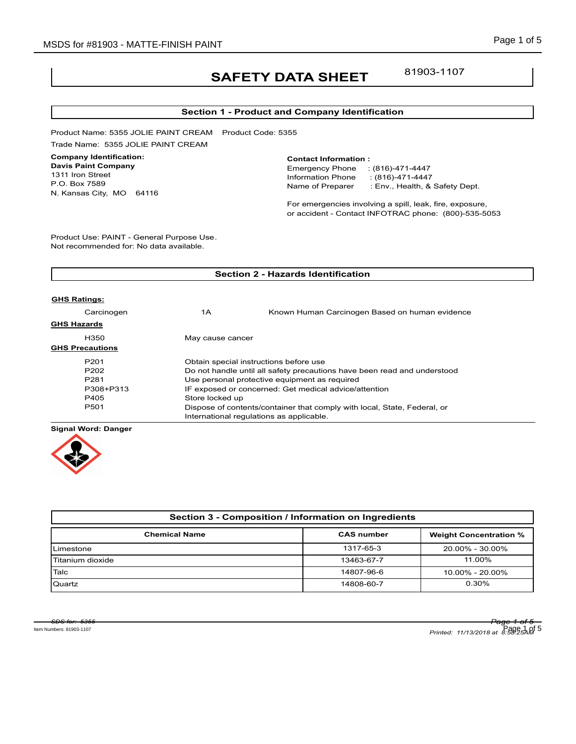# **SAFETY DATA SHEET**

81903-1107

### **Section 1 - Product and Company Identification**

Product Name: 5355 JOLIE PAINT CREAM Product Code: 5355 Trade Name: 5355 JOLIE PAINT CREAM

### **Company Identification:**

**Davis Paint Company** 1311 Iron Street P.O. Box 7589 N. Kansas City, MO 64116

#### **Contact Information :**

Emergency Phone : (816)-471-4447 Information Phone : (816)-471-4447<br>Name of Preparer : Env., Health, & : Env., Health, & Safety Dept.

For emergencies involving a spill, leak, fire, exposure, or accident - Contact INFOTRAC phone: (800)-535-5053

Product Use: PAINT - General Purpose Use. Not recommended for: No data available.

| <b>Section 2 - Hazards Identification</b> |                                                                          |                                                |  |
|-------------------------------------------|--------------------------------------------------------------------------|------------------------------------------------|--|
|                                           |                                                                          |                                                |  |
| <b>GHS Ratings:</b>                       |                                                                          |                                                |  |
| Carcinogen                                | 1Α                                                                       | Known Human Carcinogen Based on human evidence |  |
| <b>GHS Hazards</b>                        |                                                                          |                                                |  |
| H350                                      | May cause cancer                                                         |                                                |  |
| <b>GHS Precautions</b>                    |                                                                          |                                                |  |
| P <sub>201</sub>                          | Obtain special instructions before use                                   |                                                |  |
| P <sub>202</sub>                          | Do not handle until all safety precautions have been read and understood |                                                |  |
| P <sub>281</sub>                          | Use personal protective equipment as required                            |                                                |  |
| P308+P313                                 | IF exposed or concerned: Get medical advice/attention                    |                                                |  |
| P405                                      | Store locked up                                                          |                                                |  |
| P501                                      | Dispose of contents/container that comply with local, State, Federal, or |                                                |  |
|                                           | International regulations as applicable.                                 |                                                |  |
|                                           |                                                                          |                                                |  |

**Signal Word: Danger**



| Section 3 - Composition / Information on Ingredients |                   |                               |  |  |
|------------------------------------------------------|-------------------|-------------------------------|--|--|
| <b>Chemical Name</b>                                 | <b>CAS number</b> | <b>Weight Concentration %</b> |  |  |
| Limestone                                            | 1317-65-3         | 20.00% - 30.00%               |  |  |
| Titanium dioxide                                     | 13463-67-7        | 11.00%                        |  |  |
| Talc                                                 | 14807-96-6        | $10.00\% - 20.00\%$           |  |  |
| Quartz                                               | 14808-60-7        | $0.30\%$                      |  |  |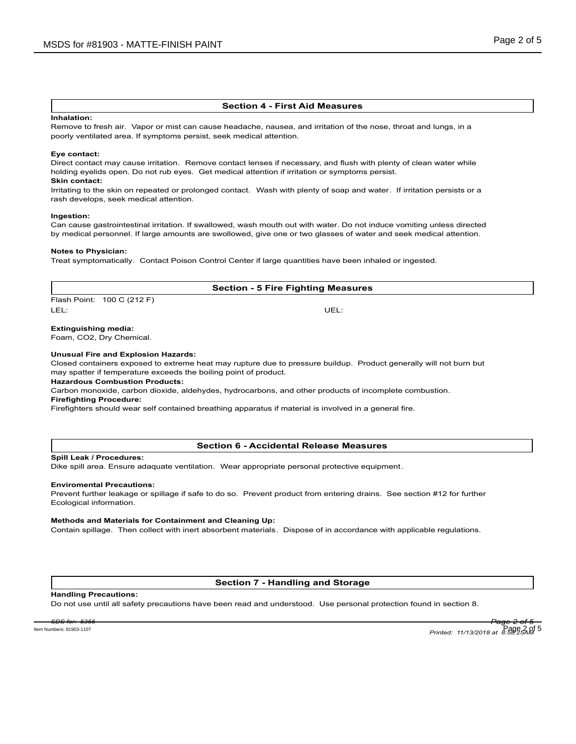### **Section 4 - First Aid Measures**

#### **Inhalation:**

Remove to fresh air. Vapor or mist can cause headache, nausea, and irritation of the nose, throat and lungs, in a poorly ventilated area. If symptoms persist, seek medical attention.

#### **Eye contact:**

Direct contact may cause irritation. Remove contact lenses if necessary, and flush with plenty of clean water while holding eyelids open. Do not rub eyes. Get medical attention if irritation or symptoms persist.

## **Skin contact:**

Irritating to the skin on repeated or prolonged contact. Wash with plenty of soap and water. If irritation persists or a rash develops, seek medical attention.

### **Ingestion:**

Can cause gastrointestinal irritation. If swallowed, wash mouth out with water. Do not induce vomiting unless directed by medical personnel. If large amounts are swollowed, give one or two glasses of water and seek medical attention.

### **Notes to Physician:**

Treat symptomatically. Contact Poison Control Center if large quantities have been inhaled or ingested.

### **Section - 5 Fire Fighting Measures**

Flash Point: 100 C (212 F) LEL: UEL:

### **Extinguishing media:**

Foam, CO2, Dry Chemical.

### **Unusual Fire and Explosion Hazards:**

Closed containers exposed to extreme heat may rupture due to pressure buildup. Product generally will not burn but may spatter if temperature exceeds the boiling point of product.

### **Hazardous Combustion Products:**

Carbon monoxide, carbon dioxide, aldehydes, hydrocarbons, and other products of incomplete combustion.

### **Firefighting Procedure:**

Firefighters should wear self contained breathing apparatus if material is involved in a general fire.

### **Section 6 - Accidental Release Measures**

### **Spill Leak / Procedures:**

Dike spill area. Ensure adaquate ventilation. Wear appropriate personal protective equipment.

#### **Enviromental Precautions:**

Prevent further leakage or spillage if safe to do so. Prevent product from entering drains. See section #12 for further Ecological information.

#### **Methods and Materials for Containment and Cleaning Up:**

Contain spillage. Then collect with inert absorbent materials. Dispose of in accordance with applicable regulations.

### **Section 7 - Handling and Storage**

#### **Handling Precautions:**

Do not use until all safety precautions have been read and understood. Use personal protection found in section 8.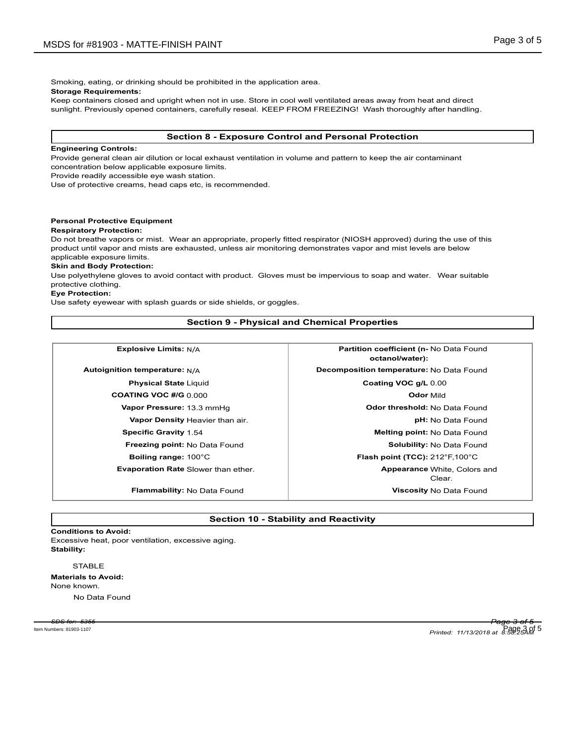Smoking, eating, or drinking should be prohibited in the application area.

**Storage Requirements:**

Keep containers closed and upright when not in use. Store in cool well ventilated areas away from heat and direct sunlight. Previously opened containers, carefully reseal. KEEP FROM FREEZING! Wash thoroughly after handling.

### **Section 8 - Exposure Control and Personal Protection**

### **Engineering Controls:**

Provide general clean air dilution or local exhaust ventilation in volume and pattern to keep the air contaminant concentration below applicable exposure limits.

Provide readily accessible eye wash station.

Use of protective creams, head caps etc, is recommended.

### **Personal Protective Equipment**

### **Respiratory Protection:**

Do not breathe vapors or mist. Wear an appropriate, properly fitted respirator (NIOSH approved) during the use of this product until vapor and mists are exhausted, unless air monitoring demonstrates vapor and mist levels are below applicable exposure limits.

### **Skin and Body Protection:**

Use polyethylene gloves to avoid contact with product. Gloves must be impervious to soap and water. Wear suitable protective clothing.

### **Eye Protection:**

Use safety eyewear with splash guards or side shields, or goggles.

### **Section 9 - Physical and Chemical Properties**

**Explosive Limits:**  $N/A$  **Partition coefficient (n-** No Data Found

**COATING VOC #/G** 0.000 **Odor** Mild

**Evaporation Rate** Slower than ether.

**octanol/water): Autoignition temperature:** N/A **Decomposition temperature:** No Data Found **Physical State** Liquid **Coating VOC g/L** 0.00 **Vapor Pressure:** 13.3 mmHg **Odor threshold:** No Data Found **Vapor Density** Heavier than air. *pH***:** No Data Found **Specific Gravity** 1.54 **Melting point:** No Data Found **Freezing point:** No Data Found **Solubility: No Data Found Solubility: No Data Found Boiling range:** 100°C **Flash point (TCC):** 212°F,100°C Clear. **Appearance White, Colors and Flammability:** No Data Found **Viscosity** No Data Found

### **Section 10 - Stability and Reactivity**

### **Conditions to Avoid:**

Excessive heat, poor ventilation, excessive aging. **Stability:**

### **STABLE**

**Materials to Avoid:** None known.

No Data Found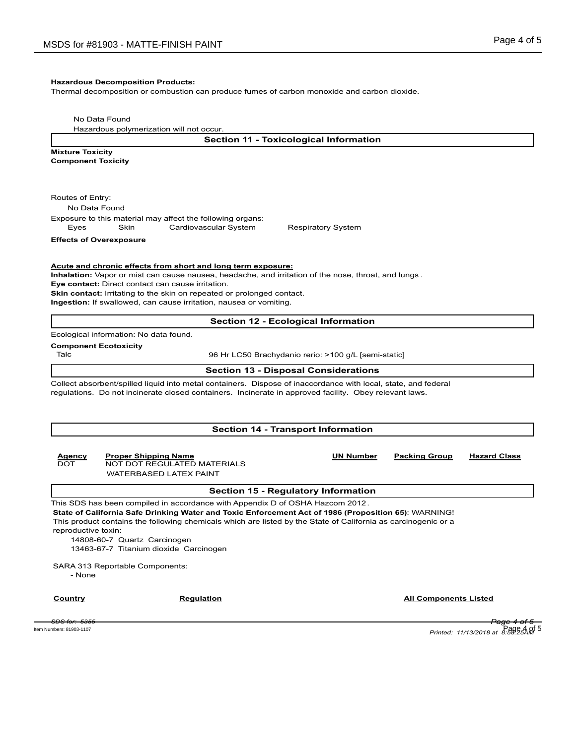### **Hazardous Decomposition Products:**

Thermal decomposition or combustion can produce fumes of carbon monoxide and carbon dioxide.

No Data Found

Hazardous polymerization will not occur.

**Section 11 - Toxicological Information**

**Mixture Toxicity Component Toxicity**

Routes of Entry:

No Data Found

Exposure to this material may affect the following organs: Eyes Skin Cardiovascular System Respiratory System

**Effects of Overexposure**

**Acute and chronic effects from short and long term exposure:**

**Inhalation:** Vapor or mist can cause nausea, headache, and irritation of the nose, throat, and lungs .

**Eye contact:** Direct contact can cause irritation.

**Skin contact:** Irritating to the skin on repeated or prolonged contact.

**Ingestion:** If swallowed, can cause irritation, nausea or vomiting.

### **Section 12 - Ecological Information**

Ecological information: No data found.

### **Component Ecotoxicity**

Talc 96 Hr LC50 Brachydanio rerio: >100 g/L [semi-static]

### **Section 13 - Disposal Considerations**

Collect absorbent/spilled liquid into metal containers. Dispose of inaccordance with local, state, and federal regulations. Do not incinerate closed containers. Incinerate in approved facility. Obey relevant laws.

### **Section 14 - Transport Information**

### **Agency Proper Shipping Name UN Number Packing Group Hazard Class** NOT DOT REGULATED MATERIALS WATERBASED LATEX PAINT

### **Section 15 - Regulatory Information**

This SDS has been compiled in accordance with Appendix D of OSHA Hazcom 2012. **State of California Safe Drinking Water and Toxic Enforcement Act of 1986 (Proposition 65)**: WARNING! This product contains the following chemicals which are listed by the State of California as carcinogenic or a reproductive toxin:

14808-60-7 Quartz Carcinogen 13463-67-7 Titanium dioxide Carcinogen

SARA 313 Reportable Components:

- None

**Country Country Regulation Regulation Country All Components Listed** 

*SDS for: 5355 Page 4 of 5 Printed: 11/13/2018 at 8:58:25AM* Item Numbers: 81903-1107 Page 4 of 5